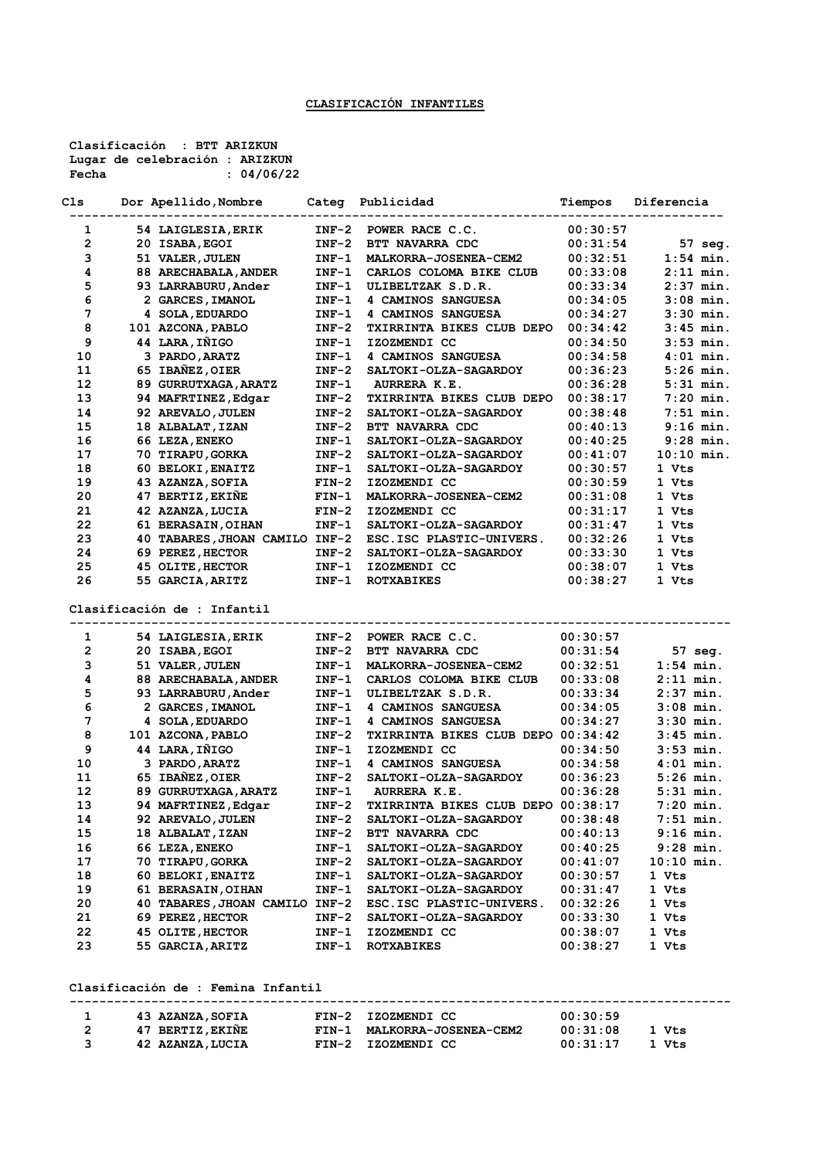**Clasificación : BTT ARIZKUN Lugar de celebración : ARIZKUN Fecha : 04/06/22**

| Cls                     | Dor Apellido, Nombre                                 | Categ            | Publicidad                                         | Tiempos              | Diferencia                  |
|-------------------------|------------------------------------------------------|------------------|----------------------------------------------------|----------------------|-----------------------------|
| 1                       | 54 LAIGLESIA, ERIK                                   | $INF-2$          | POWER RACE C.C.                                    | 00:30:57             |                             |
| $\overline{\mathbf{2}}$ | 20 ISABA, EGOI                                       | $INF-2$          | BTT NAVARRA CDC                                    | 00:31:54             | 57 seg.                     |
| з                       | 51 VALER, JULEN                                      | $INF-1$          | MALKORRA-JOSENEA-CEM2                              | 00:32:51             | $1:54$ min.                 |
| 4                       | 88 ARECHABALA, ANDER                                 | $INF-1$          | CARLOS COLOMA BIKE CLUB                            | 00:33:08             | $2:11$ min.                 |
| 5                       | 93 LARRABURU, Ander                                  | $INF-1$          | ULIBELTZAK S.D.R.                                  | 00:33:34             | $2:37$ min.                 |
| 6                       | 2 GARCES, IMANOL                                     | $INF-1$          | 4 CAMINOS SANGUESA                                 | 00:34:05             | $3:08$ min.                 |
| 7                       | 4 SOLA, EDUARDO                                      | $INF-1$          | 4 CAMINOS SANGUESA                                 | 00:34:27             | $3:30$ min.                 |
| 8                       | 101 AZCONA, PABLO                                    | $INF-2$          | TXIRRINTA BIKES CLUB DEPO                          | 00:34:42             | $3:45$ min.                 |
| 9                       | 44 LARA, IÑIGO                                       | $INF-1$          | IZOZMENDI CC                                       | 00:34:50             | $3:53$ min.                 |
| 10                      | 3 PARDO, ARATZ                                       | $INF-1$          | 4 CAMINOS SANGUESA                                 | 00:34:58             | $4:01$ min.                 |
| 11                      | 65 IBAÑEZ, OIER                                      | $INF-2$          | SALTOKI-OLZA-SAGARDOY                              | 00:36:23             | $5:26$ min.                 |
| 12                      | 89 GURRUTXAGA, ARATZ                                 | $INF-1$          | AURRERA K.E.                                       | 00:36:28             | $5:31$ min.                 |
| 13                      | 94 MAFRTINEZ, Edgar                                  | $INF-2$          | <b>TXIRRINTA BIKES CLUB DEPO</b>                   | 00:38:17             | $7:20$ min.                 |
| 14                      | 92 AREVALO, JULEN                                    | $INF-2$          | <b>SALTOKI-OLZA-SAGARDOY</b>                       | 00:38:48             | $7:51$ min.                 |
| 15                      | 18 ALBALAT, IZAN                                     | $INF-2$          | BTT NAVARRA CDC                                    | 00:40:13             | $9:16$ min.                 |
| 16                      | 66 LEZA, ENEKO                                       | $INF-1$          | <b>SALTOKI-OLZA-SAGARDOY</b>                       | 00:40:25             | 9:28 min.                   |
| 17                      | 70 TIRAPU, GORKA                                     | $INF-2$          | <b>SALTOKI-OLZA-SAGARDOY</b>                       | 00:41:07             | $10:10$ min.                |
| 18                      | 60 BELOKI, ENAITZ                                    | $INF-1$          | SALTOKI-OLZA-SAGARDOY                              | 00:30:57             | 1 Vts                       |
| 19                      | 43 AZANZA, SOFIA                                     | $FIN-2$          | IZOZMENDI CC                                       | 00:30:59             | 1 Vts                       |
| 20                      | 47 BERTIZ, EKIÑE                                     | $FIN-1$          | MALKORRA-JOSENEA-CEM2                              | 00:31:08             | 1 Vts                       |
| 21                      | 42 AZANZA, LUCIA                                     | $FIN-2$          | IZOZMENDI CC                                       | 00:31:17             | 1 Vts                       |
| 22                      | 61 BERASAIN, OIHAN                                   | $INF-1$          | SALTOKI-OLZA-SAGARDOY                              | 00:31:47             | 1 Vts                       |
| 23                      | 40 TABARES, JHOAN CAMILO INF-2                       |                  | ESC. ISC PLASTIC-UNIVERS.                          | 00:32:26             | 1 Vts                       |
| 24                      | 69 PEREZ, HECTOR                                     | $INF-2$          | SALTOKI-OLZA-SAGARDOY                              | 00:33:30             | 1 Vts                       |
| 25                      | 45 OLITE, HECTOR                                     | $INF-1$          | IZOZMENDI CC                                       | 00:38:07             | 1 Vts                       |
| 26                      | 55 GARCIA, ARITZ                                     | $INF-1$          | <b>ROTXABIKES</b>                                  | 00:38:27             | 1 Vts                       |
|                         | Clasificación de : Infantil                          |                  |                                                    |                      |                             |
| 1                       | 54 LAIGLESIA, ERIK                                   | $INF-2$          | POWER RACE C.C.                                    | 00:30:57             |                             |
| 2                       | 20 ISABA, EGOI                                       | $INF-2$          | BTT NAVARRA CDC                                    | 00:31:54             | 57 seg.                     |
| з                       | 51 VALER, JULEN                                      | $INF-1$          | MALKORRA-JOSENEA-CEM2                              | 00:32:51             | $1:54$ min.                 |
| 4                       | 88 ARECHABALA, ANDER                                 | $INF-1$          | CARLOS COLOMA BIKE CLUB                            | 00:33:08             | $2:11$ min.                 |
| 5                       | 93 LARRABURU, Ander                                  | $INF-1$          | ULIBELTZAK S.D.R.                                  | 00:33:34             | $2:37$ min.                 |
| 6                       | 2 GARCES, IMANOL                                     | $INF-1$          | 4 CAMINOS SANGUESA                                 | 00:34:05             | $3:08$ min.                 |
| 7                       | 4 SOLA, EDUARDO                                      | $INF-1$          | 4 CAMINOS SANGUESA                                 | 00:34:27             | $3:30$ min.                 |
| 8                       | 101 AZCONA, PABLO                                    | $INF-2$          | TXIRRINTA BIKES CLUB DEPO 00:34:42                 |                      | $3:45$ min.                 |
| 9                       | 44 LARA, IÑIGO                                       | $INF-1$          | IZOZMENDI CC                                       | 00:34:50             | $3:53$ min.                 |
| 10                      | 3 PARDO, ARATZ                                       | $INF-1$          | 4 CAMINOS SANGUESA                                 | 00:34:58             | $4:01$ min.                 |
| 11                      | 65 IBAÑEZ, OIER                                      | $INF-2$          | SALTOKI-OLZA-SAGARDOY                              | 00:36:23             | $5:26$ min.                 |
| 12                      | 89 GURRUTXAGA, ARATZ                                 | $INF-1$          | AURRERA K.E.                                       | 00:36:28             | $5:31$ min.                 |
| 13                      | 94 MAFRTINEZ, Edgar<br>92 AREVALO, JULEN             | $INF-2$          | TXIRRINTA BIKES CLUB DEPO 00:38:17                 |                      | $7:20$ min.                 |
| 14<br>15                |                                                      | $INF-2$          | SALTOKI-OLZA-SAGARDOY                              | 00:38:48             | 7:51 min.                   |
| 16                      | 18 ALBALAT, IZAN                                     | $INF-2$          | BTT NAVARRA CDC                                    | 00:40:13             | $9:16$ min.                 |
| 17                      | 66 LEZA, ENEKO<br>70 TIRAPU, GORKA                   | INF-1<br>$INF-2$ | SALTOKI-OLZA-SAGARDOY<br>SALTOKI-OLZA-SAGARDOY     | 00:40:25<br>00:41:07 | $9:28$ min.<br>$10:10$ min. |
| 18                      | 60 BELOKI, ENAITZ                                    |                  |                                                    |                      | 1 Vts                       |
| 19                      |                                                      | $INF-1$          | <b>SALTOKI-OLZA-SAGARDOY</b>                       | 00:30:57             |                             |
| 20                      | 61 BERASAIN, OIHAN<br>40 TABARES, JHOAN CAMILO INF-2 | $INF-1$          | SALTOKI-OLZA-SAGARDOY                              | 00:31:47             | 1 Vts<br>1 Vts              |
|                         |                                                      | $INF-2$          | ESC. ISC PLASTIC-UNIVERS.<br>SALTOKI-OLZA-SAGARDOY | 00:32:26             | 1 Vts                       |
| 21<br>22                | 69 PEREZ, HECTOR<br>45 OLITE, HECTOR                 | $INF-1$          | IZOZMENDI CC                                       | 00:33:30<br>00:38:07 | 1 Vts                       |
| 23                      | 55 GARCIA, ARITZ                                     | $INF-1$          | <b>ROTXABIKES</b>                                  | 00:38:27             | 1 Vts                       |
|                         |                                                      |                  |                                                    |                      |                             |
|                         | Clasificación de : Femina Infantil                   |                  |                                                    |                      |                             |

| 43 AZANZA, SOFIA | FIN-2 IZOZMENDI CC          | 00:30:59          |
|------------------|-----------------------------|-------------------|
| 47 BERTIZ, EKIÑE | FIN-1 MALKORRA-JOSENEA-CEM2 | 00:31:08<br>1 Vts |
| 42 AZANZA, LUCIA | FIN-2 IZOZMENDI CC          | 00:31:17<br>1 Vts |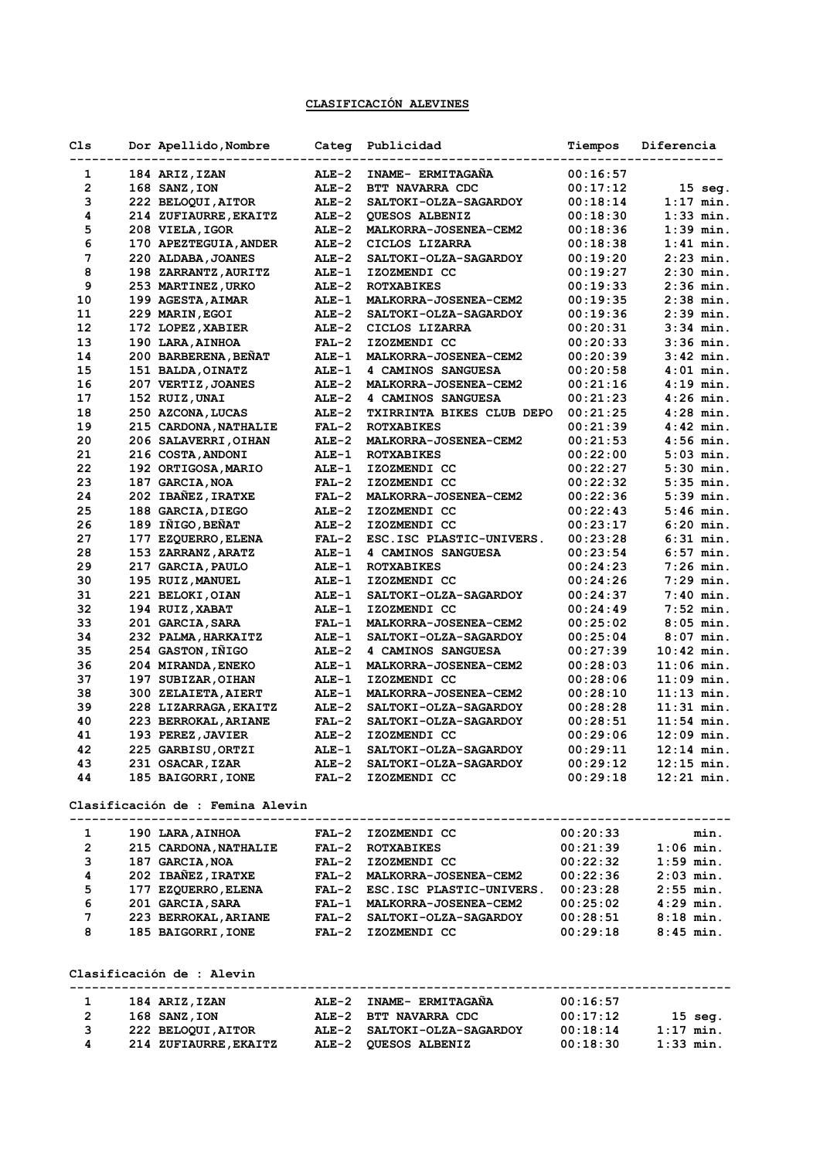## **CLASIFICACIÓN ALEVINES**

| Cls                     | Dor Apellido, Nombre                       |              | Categ Publicidad                                                                          | Tiempos  | Diferencia                                   |
|-------------------------|--------------------------------------------|--------------|-------------------------------------------------------------------------------------------|----------|----------------------------------------------|
| 1                       | 184 ARIZ, IZAN                             | $ALE-2$      | INAME- ERMITAGAÑA                                                                         | 00:16:57 |                                              |
| 2                       | 168 SANZ, ION                              | $ALE-2$      | BTT NAVARRA CDC                                                                           | 00:17:12 | 15 seg.                                      |
| з                       | 222 BELOQUI, AITOR                         | $ALE-2$      | SALTOKI-OLZA-SAGARDOY                                                                     | 00:18:14 | $1:17$ min.                                  |
| 4                       | 214 ZUFIAURRE, EKAITZ                      | $ALE-2$      | QUESOS ALBENIZ                                                                            | 00:18:30 | $1:33$ min.                                  |
| 5                       | 208 VIELA, IGOR                            | $ALE-2$      | MALKORRA-JOSENEA-CEM2                                                                     | 00:18:36 | $1:39$ min.                                  |
| 6                       | 170 APEZTEGUIA, ANDER                      | $ALE-2$      | CICLOS LIZARRA                                                                            | 00:18:38 | $1:41$ min.                                  |
| 7                       | 220 ALDABA, JOANES                         | $ALE-2$      | <b>SALTOKI-OLZA-SAGARDOY</b>                                                              | 00:19:20 | $2:23$ min.                                  |
| 8                       | 198 ZARRANTZ, AURITZ                       | <b>ALE-1</b> | IZOZMENDI CC                                                                              | 00:19:27 | $2:30$ min.                                  |
| 9                       | 253 MARTINEZ, URKO                         | $ALE-2$      | <b>ROTXABIKES</b>                                                                         | 00:19:33 | $2:36$ min.                                  |
| 10                      | 199 AGESTA, AIMAR                          | <b>ALE-1</b> | MALKORRA-JOSENEA-CEM2                                                                     | 00:19:35 | $2:38$ min.                                  |
| 11                      | 229 MARIN, EGOI                            | $ALE-2$      | SALTOKI-OLZA-SAGARDOY                                                                     | 00:19:36 | $2:39$ min.                                  |
| 12                      | 172 LOPEZ, XABIER                          | $ALE-2$      | CICLOS LIZARRA                                                                            | 00:20:31 | $3:34$ min.                                  |
| 13                      | 190 LARA, AINHOA                           | $FAL-2$      | IZOZMENDI CC                                                                              | 00:20:33 | $3:36$ min.                                  |
| 14                      | 200 BARBERENA, BENAT                       | <b>ALE-1</b> | MALKORRA-JOSENEA-CEM2                                                                     | 00:20:39 | $3:42$ min.                                  |
| 15                      | 151 BALDA, OINATZ                          | ALE-1        | 4 CAMINOS SANGUESA                                                                        | 00:20:58 | $4:01$ min.                                  |
| 16                      | 207 VERTIZ, JOANES                         | $ALE-2$      | MALKORRA-JOSENEA-CEM2                                                                     | 00:21:16 | $4:19$ min.                                  |
| 17                      | 152 RUIZ, UNAI                             | $ALE-2$      | 4 CAMINOS SANGUESA                                                                        | 00:21:23 | $4:26$ min.                                  |
| 18                      |                                            | $ALE-2$      | <b>TXIRRINTA BIKES CLUB DEPO</b>                                                          | 00:21:25 | $4:28$ min.                                  |
|                         | 250 AZCONA, LUCAS                          |              | <b>ROTXABIKES</b>                                                                         | 00:21:39 |                                              |
| 19                      | 215 CARDONA, NATHALIE                      | $FAL-2$      |                                                                                           |          | $4:42$ min.                                  |
| 20                      | 206 SALAVERRI, OIHAN                       | $ALE-2$      | MALKORRA-JOSENEA-CEM2                                                                     | 00:21:53 | $4:56$ min.                                  |
| 21                      | 216 COSTA, ANDONI                          | ALE-1        | <b>ROTXABIKES</b>                                                                         | 00:22:00 | $5:03$ min.                                  |
| 22                      | 192 ORTIGOSA, MARIO                        | <b>ALE-1</b> | IZOZMENDI CC                                                                              | 00:22:27 | $5:30$ min.                                  |
| 23                      | 187 GARCIA, NOA                            | $FAL-2$      | IZOZMENDI CC                                                                              | 00:22:32 | $5:35$ min.                                  |
| 24                      | 202 IBAÑEZ, IRATXE                         | $FAL-2$      | MALKORRA-JOSENEA-CEM2                                                                     | 00:22:36 | $5:39$ min.                                  |
| 25                      | 188 GARCIA, DIEGO                          | $ALE-2$      | IZOZMENDI CC                                                                              | 00:22:43 | $5:46$ min.                                  |
| 26                      | 189 IÑIGO, BEÑAT                           | $ALE-2$      | IZOZMENDI CC                                                                              | 00:23:17 | $6:20$ min.                                  |
| 27                      | 177 EZQUERRO, ELENA                        | $FAL-2$      | ESC. ISC PLASTIC-UNIVERS.                                                                 | 00:23:28 | $6:31$ min.                                  |
| 28                      | 153 ZARRANZ, ARATZ                         | <b>ALE-1</b> | 4 CAMINOS SANGUESA                                                                        | 00:23:54 | $6:57$ min.                                  |
| 29                      | 217 GARCIA, PAULO                          | ALE-1        | <b>ROTXABIKES</b>                                                                         | 00:24:23 | $7:26$ min.                                  |
| 30                      | 195 RUIZ, MANUEL                           | <b>ALE-1</b> | IZOZMENDI CC                                                                              | 00:24:26 | $7:29$ min.                                  |
| 31                      | 221 BELOKI, OIAN                           | <b>ALE-1</b> | SALTOKI-OLZA-SAGARDOY                                                                     | 00:24:37 | $7:40$ min.                                  |
| 32                      | 194 RUIZ, XABAT                            | <b>ALE-1</b> | IZOZMENDI CC                                                                              | 00:24:49 | $7:52$ min.                                  |
| 33                      | 201 GARCIA, SARA                           | $FAL-1$      | MALKORRA-JOSENEA-CEM2                                                                     | 00:25:02 | $8:05$ min.                                  |
| 34                      | 232 PALMA, HARKAITZ                        | ALE-1        | SALTOKI-OLZA-SAGARDOY                                                                     | 00:25:04 | $8:07$ min.                                  |
| 35                      | 254 GASTON, IÑIGO                          | $ALE-2$      | 4 CAMINOS SANGUESA                                                                        | 00:27:39 | $10:42$ min.                                 |
| 36                      | 204 MIRANDA, ENEKO                         | ALE-1        | MALKORRA-JOSENEA-CEM2                                                                     | 00:28:03 | $11:06$ min.                                 |
| 37                      | 197 SUBIZAR, OIHAN                         | $ALE-1$      | IZOZMENDI CC                                                                              | 00:28:06 | $11:09$ min.                                 |
| 38                      | 300 ZELAIETA, AIERT                        | <b>ALE-1</b> | MALKORRA-JOSENEA-CEM2                                                                     | 00:28:10 | $11:13$ min.                                 |
| 39                      | 228 LIZARRAGA, EKAITZ                      | $ALE-2$      | <b>SALTOKI-OLZA-SAGARDOY</b>                                                              | 00:28:28 | $11:31$ min.                                 |
| 40                      | 223 BERROKAL, ARIANE                       | $FAL-2$      | SALTOKI-OLZA-SAGARDOY                                                                     | 00:28:51 | $11:54$ min.                                 |
| 41                      | 193 PEREZ, JAVIER                          | $ALE-2$      | IZOZMENDI CC                                                                              | 00:29:06 | $12:09$ min.                                 |
| 42                      | 225 GARBISU, ORTZI                         |              | ALE-1 SALTOKI-OLZA-SAGARDOY                                                               | 00:29:11 | $12:14$ min.                                 |
| 43                      | 231 OSACAR, IZAR                           |              | ALE-2 SALTOKI-OLZA-SAGARDOY                                                               |          | $00:29:12$ 12:15 min.                        |
| 44                      |                                            |              |                                                                                           |          |                                              |
|                         | 185 BAIGORRI, IONE FAL-2 IZOZMENDI CC      |              |                                                                                           |          | $00:29:18$ $12:21$ min.                      |
|                         | Clasificación de : Femina Alevin           |              |                                                                                           |          |                                              |
| $\mathbf{1}$            | 190 LARA, AINHOA                           |              | FAL-2 IZOZMENDI CC                                                                        | 00:20:33 | min.                                         |
| $\mathbf{2}$            | 215 CARDONA, NATHALIE FAL-2 ROTXABIKES     |              |                                                                                           |          | $00:21:39$ $1:06$ min.                       |
| 3                       | 187 GARCIA, NOA                            |              |                                                                                           |          | $00:22:32$ $1:59$ min.                       |
| $\overline{\mathbf{4}}$ | 202 IBAÑEZ, IRATXE                         |              |                                                                                           |          |                                              |
|                         |                                            |              | FAL-2 IZOZMENDI CC<br>FAL-2 MALKORRA-JOSENEA-CEM2<br>FAL-2 ESC.ISC PLASTIC-UNIVERS.       |          | $00:22:36$ 2:03 min.<br>$00:23:28$ 2:55 min. |
| 5                       | 177 EZQUERRO, ELENA                        |              |                                                                                           |          |                                              |
| 6                       | 201 GARCIA, SARA                           |              | FAL-1 MALKORRA-JOSENEA-CEM2                                                               |          | $00:25:02$ 4:29 min.                         |
| 7                       |                                            |              | 223 BERROKAL, ARIANE FAL-2 SALTOKI-OLZA-SAGARDOY<br>185 BAIGORRI, IONE FAL-2 IZOZMENDI CC |          | $00:28:51$ $8:18 \text{ min.}$               |
| 8                       |                                            |              |                                                                                           |          | $00:29:18$ $8:45$ min.                       |
|                         | Clasificación de : Alevin                  |              |                                                                                           |          |                                              |
|                         |                                            |              |                                                                                           |          |                                              |
| $\mathbf{1}$            | 184 ARIZ,IZAN                              |              | ALE-2 INAME- ERMITAGAÑA                                                                   | 00:16:57 |                                              |
| $\mathbf{2}$            | <b>168 SANZ,ION</b>                        |              | 168 SANZ, ION ALE-2 BTT NAVARRA CDC<br>222 BELOQUI, AITOR ALE-2 SALTOKI-OLZA-SAGARDOY     | 00:17:12 | $15$ seg.                                    |
| 3                       |                                            |              |                                                                                           |          | $00:18:14$ 1:17 min.                         |
| 4                       | 214 ZUFIAURRE, EKAITZ ALE-2 QUESOS ALBENIZ |              |                                                                                           | 00:18:30 | $1:33$ min.                                  |